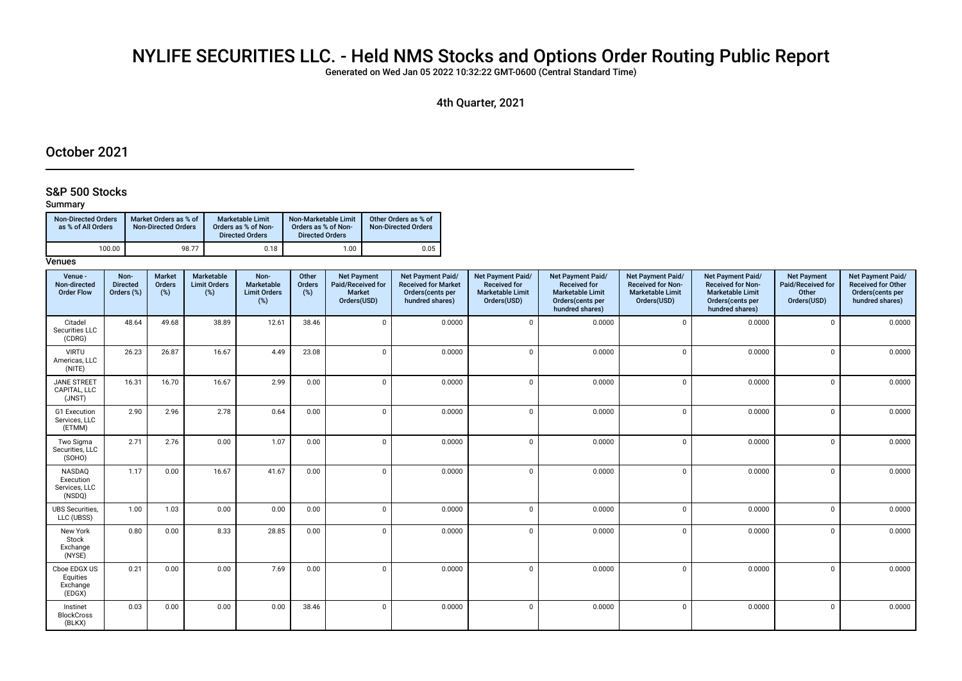# NYLIFE SECURITIES LLC. - Held NMS Stocks and Options Order Routing Public Report

Generated on Wed Jan 05 2022 10:32:22 GMT-0600 (Central Standard Time)

4th Quarter, 2021

# October 2021

#### S&P 500 Stocks

#### Summary

| <b>Non-Directed Orders</b><br>as % of All Orders | Market Orders as % of<br><b>Non-Directed Orders</b> | <b>Marketable Limit</b><br>Orders as % of Non-<br><b>Directed Orders</b> | Non-Marketable Limit<br>Orders as % of Non-<br><b>Directed Orders</b> | Other Orders as % of<br>Non-Directed Orders |
|--------------------------------------------------|-----------------------------------------------------|--------------------------------------------------------------------------|-----------------------------------------------------------------------|---------------------------------------------|
| 100.00                                           | 98.77                                               | 0.18                                                                     | 1.00                                                                  | 0.05                                        |

| Venue -<br>Non-directed<br><b>Order Flow</b>   | Non-<br><b>Directed</b><br>Orders (%) | <b>Market</b><br>Orders<br>(%) | <b>Marketable</b><br><b>Limit Orders</b><br>(%) | Non-<br>Marketable<br><b>Limit Orders</b><br>$(\%)$ | Other<br>Orders<br>(%) | <b>Net Payment</b><br>Paid/Received for<br><b>Market</b><br>Orders(USD) | Net Payment Paid/<br><b>Received for Market</b><br>Orders(cents per<br>hundred shares) | Net Payment Paid/<br><b>Received for</b><br><b>Marketable Limit</b><br>Orders(USD) | Net Payment Paid/<br><b>Received for</b><br><b>Marketable Limit</b><br>Orders(cents per<br>hundred shares) | Net Payment Paid/<br><b>Received for Non-</b><br><b>Marketable Limit</b><br>Orders(USD) | Net Payment Paid/<br><b>Received for Non-</b><br><b>Marketable Limit</b><br>Orders(cents per<br>hundred shares) | <b>Net Payment</b><br>Paid/Received for<br>Other<br>Orders(USD) | Net Payment Paid/<br><b>Received for Other</b><br>Orders(cents per<br>hundred shares) |
|------------------------------------------------|---------------------------------------|--------------------------------|-------------------------------------------------|-----------------------------------------------------|------------------------|-------------------------------------------------------------------------|----------------------------------------------------------------------------------------|------------------------------------------------------------------------------------|------------------------------------------------------------------------------------------------------------|-----------------------------------------------------------------------------------------|-----------------------------------------------------------------------------------------------------------------|-----------------------------------------------------------------|---------------------------------------------------------------------------------------|
| Citadel<br>Securities LLC<br>(CDRG)            | 48.64                                 | 49.68                          | 38.89                                           | 12.61                                               | 38.46                  | $\mathsf 0$                                                             | 0.0000                                                                                 | $\mathbf{0}$                                                                       | 0.0000                                                                                                     | $\Omega$                                                                                | 0.0000                                                                                                          | $\mathbf{0}$                                                    | 0.0000                                                                                |
| <b>VIRTU</b><br>Americas, LLC<br>(NITE)        | 26.23                                 | 26.87                          | 16.67                                           | 4.49                                                | 23.08                  | $\mathbf 0$                                                             | 0.0000                                                                                 | $\Omega$                                                                           | 0.0000                                                                                                     | $\Omega$                                                                                | 0.0000                                                                                                          | $\Omega$                                                        | 0.0000                                                                                |
| <b>JANE STREET</b><br>CAPITAL, LLC<br>(JNST)   | 16.31                                 | 16.70                          | 16.67                                           | 2.99                                                | 0.00                   | $\mathbf 0$                                                             | 0.0000                                                                                 | $\Omega$                                                                           | 0.0000                                                                                                     | $\Omega$                                                                                | 0.0000                                                                                                          | $\mathbf 0$                                                     | 0.0000                                                                                |
| G1 Execution<br>Services, LLC<br>(ETMM)        | 2.90                                  | 2.96                           | 2.78                                            | 0.64                                                | 0.00                   | $\mathsf 0$                                                             | 0.0000                                                                                 | $\Omega$                                                                           | 0.0000                                                                                                     | $\Omega$                                                                                | 0.0000                                                                                                          | $\Omega$                                                        | 0.0000                                                                                |
| Two Sigma<br>Securities, LLC<br>(SOHO)         | 2.71                                  | 2.76                           | 0.00                                            | 1.07                                                | 0.00                   | $\mathbf 0$                                                             | 0.0000                                                                                 | $\Omega$                                                                           | 0.0000                                                                                                     | $\Omega$                                                                                | 0.0000                                                                                                          | $\Omega$                                                        | 0.0000                                                                                |
| NASDAQ<br>Execution<br>Services, LLC<br>(NSDQ) | 1.17                                  | 0.00                           | 16.67                                           | 41.67                                               | 0.00                   | $\mathbf 0$                                                             | 0.0000                                                                                 | $\Omega$                                                                           | 0.0000                                                                                                     | $\Omega$                                                                                | 0.0000                                                                                                          | $\mathbf 0$                                                     | 0.0000                                                                                |
| <b>UBS Securities.</b><br>LLC (UBSS)           | 1.00                                  | 1.03                           | 0.00                                            | 0.00                                                | 0.00                   | $\mathbf 0$                                                             | 0.0000                                                                                 | $\Omega$                                                                           | 0.0000                                                                                                     | $\Omega$                                                                                | 0.0000                                                                                                          | $\mathbf 0$                                                     | 0.0000                                                                                |
| New York<br>Stock<br>Exchange<br>(NYSE)        | 0.80                                  | 0.00                           | 8.33                                            | 28.85                                               | 0.00                   | $\mathbf 0$                                                             | 0.0000                                                                                 | $\mathbf 0$                                                                        | 0.0000                                                                                                     | $\Omega$                                                                                | 0.0000                                                                                                          | $\mathbf{0}$                                                    | 0.0000                                                                                |
| Cboe EDGX US<br>Equities<br>Exchange<br>(EDGX) | 0.21                                  | 0.00                           | 0.00                                            | 7.69                                                | 0.00                   | $\mathbf 0$                                                             | 0.0000                                                                                 | $\mathbf 0$                                                                        | 0.0000                                                                                                     | $\Omega$                                                                                | 0.0000                                                                                                          | $\mathbf 0$                                                     | 0.0000                                                                                |
| Instinet<br><b>BlockCross</b><br>(BLKX)        | 0.03                                  | 0.00                           | 0.00                                            | 0.00                                                | 38.46                  | $\mathbf 0$                                                             | 0.0000                                                                                 | $\mathbf{0}$                                                                       | 0.0000                                                                                                     | $\mathbf 0$                                                                             | 0.0000                                                                                                          | $\mathbf{0}$                                                    | 0.0000                                                                                |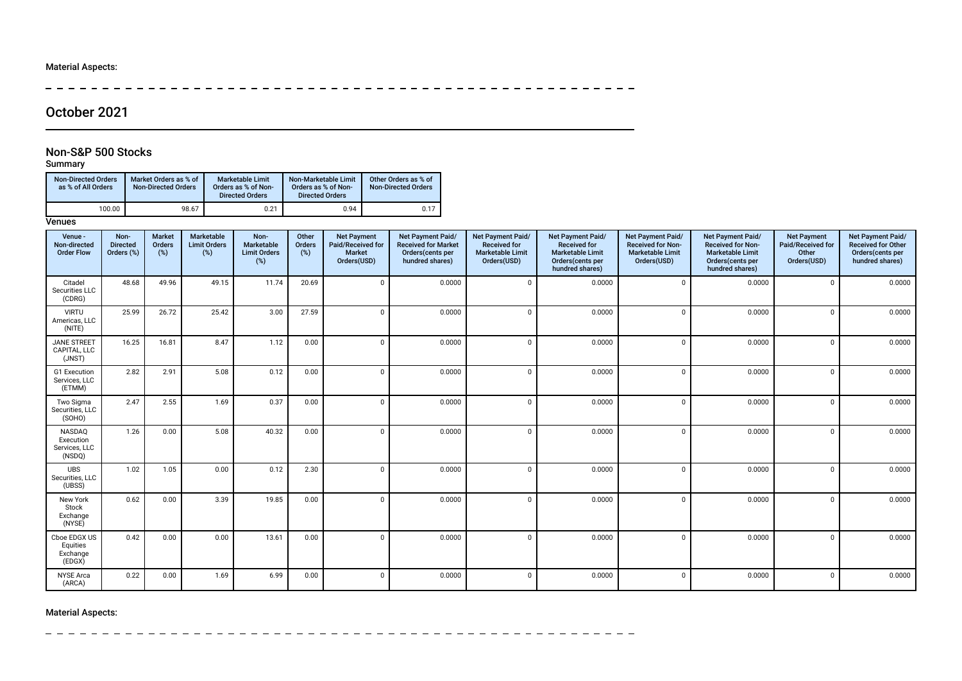$\frac{1}{2}$  $\frac{1}{2}$  $\overline{\phantom{a}}$  $\overline{a}$  $\overline{\phantom{a}}$  $\overline{\phantom{a}}$  $\overline{\phantom{a}}$  $\sim$   $-$ 

> $\equiv$  $\equiv$  $\equiv$

# October 2021

#### Non-S&P 500 Stocks

## Summary

| <b>Non-Directed Orders</b><br>as % of All Orders | Market Orders as % of<br><b>Non-Directed Orders</b> | <b>Marketable Limit</b><br>Orders as % of Non-<br><b>Directed Orders</b> | Non-Marketable Limit<br>Orders as % of Non-<br><b>Directed Orders</b> | Other Orders as % of<br><b>Non-Directed Orders</b> |
|--------------------------------------------------|-----------------------------------------------------|--------------------------------------------------------------------------|-----------------------------------------------------------------------|----------------------------------------------------|
| 100.00                                           | 98.67                                               | 0.21                                                                     | 0.94                                                                  | 0.17                                               |

#### **Venues**

| Venue -<br>Non-directed<br><b>Order Flow</b>   | Non-<br><b>Directed</b><br>Orders (%) | <b>Market</b><br>Orders<br>(%) | Marketable<br><b>Limit Orders</b><br>(%) | Non-<br>Marketable<br><b>Limit Orders</b><br>(%) | Other<br>Orders<br>(%) | <b>Net Payment</b><br>Paid/Received for<br><b>Market</b><br>Orders(USD) | Net Payment Paid/<br><b>Received for Market</b><br>Orders(cents per<br>hundred shares) | Net Payment Paid/<br><b>Received for</b><br><b>Marketable Limit</b><br>Orders(USD) | Net Payment Paid/<br><b>Received for</b><br><b>Marketable Limit</b><br>Orders(cents per<br>hundred shares) | Net Payment Paid/<br><b>Received for Non-</b><br><b>Marketable Limit</b><br>Orders(USD) | Net Payment Paid/<br><b>Received for Non-</b><br><b>Marketable Limit</b><br>Orders(cents per<br>hundred shares) | <b>Net Payment</b><br>Paid/Received for<br>Other<br>Orders(USD) | Net Payment Paid/<br><b>Received for Other</b><br>Orders(cents per<br>hundred shares) |
|------------------------------------------------|---------------------------------------|--------------------------------|------------------------------------------|--------------------------------------------------|------------------------|-------------------------------------------------------------------------|----------------------------------------------------------------------------------------|------------------------------------------------------------------------------------|------------------------------------------------------------------------------------------------------------|-----------------------------------------------------------------------------------------|-----------------------------------------------------------------------------------------------------------------|-----------------------------------------------------------------|---------------------------------------------------------------------------------------|
| Citadel<br>Securities LLC<br>(CDRG)            | 48.68                                 | 49.96                          | 49.15                                    | 11.74                                            | 20.69                  | $\mathbf{0}$                                                            | 0.0000                                                                                 | $\mathbf 0$                                                                        | 0.0000                                                                                                     | $\Omega$                                                                                | 0.0000                                                                                                          | $\Omega$                                                        | 0.0000                                                                                |
| <b>VIRTU</b><br>Americas, LLC<br>(NITE)        | 25.99                                 | 26.72                          | 25.42                                    | 3.00                                             | 27.59                  | $\mathbf{0}$                                                            | 0.0000                                                                                 | $\mathbf 0$                                                                        | 0.0000                                                                                                     | $\Omega$                                                                                | 0.0000                                                                                                          | $\Omega$                                                        | 0.0000                                                                                |
| <b>JANE STREET</b><br>CAPITAL. LLC<br>(JNST)   | 16.25                                 | 16.81                          | 8.47                                     | 1.12                                             | 0.00                   | $\mathbf{0}$                                                            | 0.0000                                                                                 | $\mathbf 0$                                                                        | 0.0000                                                                                                     | $\mathbf 0$                                                                             | 0.0000                                                                                                          | $\mathbf 0$                                                     | 0.0000                                                                                |
| G1 Execution<br>Services, LLC<br>(ETMM)        | 2.82                                  | 2.91                           | 5.08                                     | 0.12                                             | 0.00                   | $\mathbf 0$                                                             | 0.0000                                                                                 | $\mathbf 0$                                                                        | 0.0000                                                                                                     | $\Omega$                                                                                | 0.0000                                                                                                          | $\mathbf 0$                                                     | 0.0000                                                                                |
| Two Sigma<br>Securities, LLC<br>(SOHO)         | 2.47                                  | 2.55                           | 1.69                                     | 0.37                                             | 0.00                   | $\Omega$                                                                | 0.0000                                                                                 | $\mathbf 0$                                                                        | 0.0000                                                                                                     | $\Omega$                                                                                | 0.0000                                                                                                          | $\Omega$                                                        | 0.0000                                                                                |
| NASDAQ<br>Execution<br>Services, LLC<br>(NSDQ) | 1.26                                  | 0.00                           | 5.08                                     | 40.32                                            | 0.00                   | $\Omega$                                                                | 0.0000                                                                                 | $\mathbf 0$                                                                        | 0.0000                                                                                                     | $\Omega$                                                                                | 0.0000                                                                                                          | $\Omega$                                                        | 0.0000                                                                                |
| <b>UBS</b><br>Securities, LLC<br>(UBSS)        | 1.02                                  | 1.05                           | 0.00                                     | 0.12                                             | 2.30                   | $\mathbf{0}$                                                            | 0.0000                                                                                 | $\mathbf 0$                                                                        | 0.0000                                                                                                     | $\Omega$                                                                                | 0.0000                                                                                                          | $\Omega$                                                        | 0.0000                                                                                |
| New York<br>Stock<br>Exchange<br>(NYSE)        | 0.62                                  | 0.00                           | 3.39                                     | 19.85                                            | 0.00                   | $\mathbf 0$                                                             | 0.0000                                                                                 | $\mathbf 0$                                                                        | 0.0000                                                                                                     | $\Omega$                                                                                | 0.0000                                                                                                          | $\Omega$                                                        | 0.0000                                                                                |
| Cboe EDGX US<br>Equities<br>Exchange<br>(EDGX) | 0.42                                  | 0.00                           | 0.00                                     | 13.61                                            | 0.00                   | $\Omega$                                                                | 0.0000                                                                                 | $\mathbf 0$                                                                        | 0.0000                                                                                                     | $\Omega$                                                                                | 0.0000                                                                                                          | $\Omega$                                                        | 0.0000                                                                                |
| <b>NYSE</b> Arca<br>(ARCA)                     | 0.22                                  | 0.00                           | 1.69                                     | 6.99                                             | 0.00                   | $\mathbf 0$                                                             | 0.0000                                                                                 | $\mathbf 0$                                                                        | 0.0000                                                                                                     | $\Omega$                                                                                | 0.0000                                                                                                          | $\Omega$                                                        | 0.0000                                                                                |

 $\overline{\phantom{0}}$  $\overline{\phantom{0}}$  $\equiv$  $\equiv$  $\sim$   $\sim$   $-$ 

Material Aspects:

 $\overline{a}$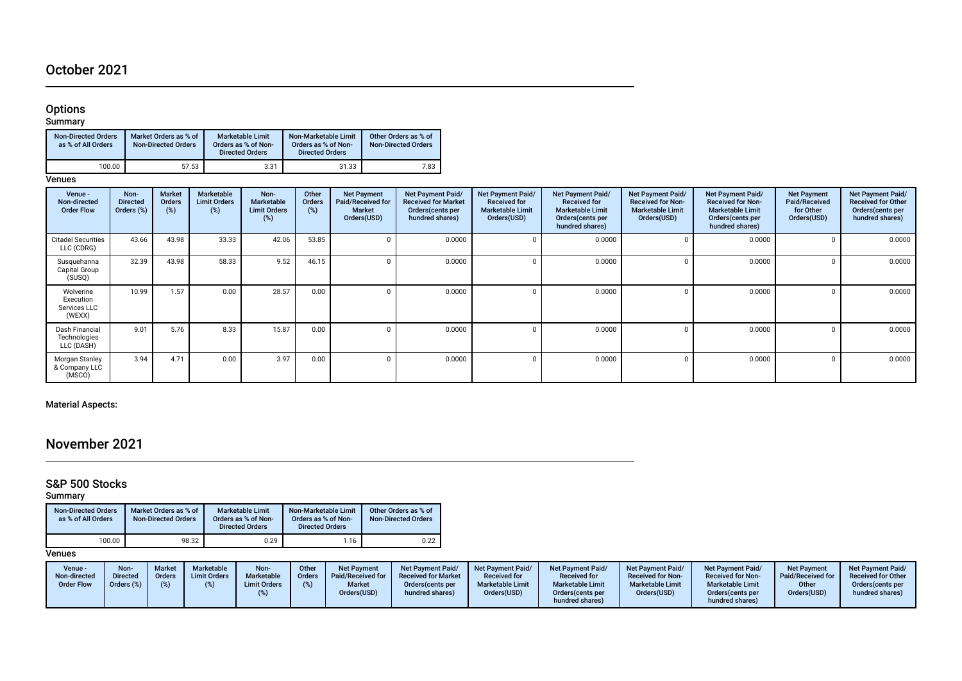# October 2021

#### Options

Summary

| <b>Non-Directed Orders</b><br>as % of All Orders | Market Orders as % of<br><b>Non-Directed Orders</b> | <b>Marketable Limit</b><br>Orders as % of Non-<br><b>Directed Orders</b> | Non-Marketable Limit<br>Orders as % of Non-<br><b>Directed Orders</b> | Other Orders as % of<br><b>Non-Directed Orders</b> |
|--------------------------------------------------|-----------------------------------------------------|--------------------------------------------------------------------------|-----------------------------------------------------------------------|----------------------------------------------------|
| 100.00                                           | 57.53                                               | 3.31                                                                     | 31.33                                                                 | 7.83                                               |

**Venues** 

| Venue -<br>Non-directed<br><b>Order Flow</b>     | Non-<br><b>Directed</b><br>Orders (%) | <b>Market</b><br><b>Orders</b><br>(%) | Marketable<br><b>Limit Orders</b><br>(%) | Non-<br>Marketable<br><b>Limit Orders</b><br>(%) | Other<br><b>Orders</b><br>(%) | <b>Net Payment</b><br>Paid/Received for<br><b>Market</b><br>Orders(USD) | Net Payment Paid/<br><b>Received for Market</b><br>Orders (cents per<br>hundred shares) | Net Payment Paid/<br><b>Received for</b><br><b>Marketable Limit</b><br>Orders(USD) | Net Payment Paid/<br><b>Received for</b><br><b>Marketable Limit</b><br>Orders (cents per<br>hundred shares) | Net Payment Paid/<br><b>Received for Non-</b><br><b>Marketable Limit</b><br>Orders(USD) | Net Payment Paid/<br><b>Received for Non-</b><br><b>Marketable Limit</b><br>Orders (cents per<br>hundred shares) | <b>Net Payment</b><br>Paid/Received<br>for Other<br>Orders(USD) | <b>Net Payment Paid/</b><br><b>Received for Other</b><br>Orders(cents per<br>hundred shares) |
|--------------------------------------------------|---------------------------------------|---------------------------------------|------------------------------------------|--------------------------------------------------|-------------------------------|-------------------------------------------------------------------------|-----------------------------------------------------------------------------------------|------------------------------------------------------------------------------------|-------------------------------------------------------------------------------------------------------------|-----------------------------------------------------------------------------------------|------------------------------------------------------------------------------------------------------------------|-----------------------------------------------------------------|----------------------------------------------------------------------------------------------|
| <b>Citadel Securities</b><br>LLC (CDRG)          | 43.66                                 | 43.98                                 | 33.33                                    | 42.06                                            | 53.85                         |                                                                         | 0.0000                                                                                  | 0                                                                                  | 0.0000                                                                                                      |                                                                                         | 0.0000                                                                                                           |                                                                 | 0.0000                                                                                       |
| Susquehanna<br>Capital Group<br>(SUSQ)           | 32.39                                 | 43.98                                 | 58.33                                    | 9.52                                             | 46.15                         |                                                                         | 0.0000                                                                                  | 0                                                                                  | 0.0000                                                                                                      |                                                                                         | 0.0000                                                                                                           |                                                                 | 0.0000                                                                                       |
| Wolverine<br>Execution<br>Services LLC<br>(WEXX) | 10.99                                 | 1.57                                  | 0.00                                     | 28.57                                            | 0.00                          |                                                                         | 0.0000                                                                                  |                                                                                    | 0.0000                                                                                                      |                                                                                         | 0.0000                                                                                                           |                                                                 | 0.0000                                                                                       |
| Dash Financial<br>Technologies<br>LLC (DASH)     | 9.01                                  | 5.76                                  | 8.33                                     | 15.87                                            | 0.00                          |                                                                         | 0.0000                                                                                  | $\Omega$                                                                           | 0.0000                                                                                                      |                                                                                         | 0.0000                                                                                                           |                                                                 | 0.0000                                                                                       |
| Morgan Stanley<br>& Company LLC<br>(MSCO)        | 3.94                                  | 4.71                                  | 0.00                                     | 3.97                                             | 0.00                          |                                                                         | 0.0000                                                                                  | 0                                                                                  | 0.0000                                                                                                      |                                                                                         | 0.0000                                                                                                           |                                                                 | 0.0000                                                                                       |

## Material Aspects:

# November 2021

#### S&P 500 Stocks

Summary

| <b>Non-Directed Orders</b><br>as % of All Orders | Market Orders as % of<br><b>Non-Directed Orders</b> | <b>Marketable Limit</b><br>Orders as % of Non-<br><b>Directed Orders</b> | Non-Marketable Limit<br>Orders as % of Non-<br><b>Directed Orders</b> | Other Orders as % of<br><b>Non-Directed Orders</b> |
|--------------------------------------------------|-----------------------------------------------------|--------------------------------------------------------------------------|-----------------------------------------------------------------------|----------------------------------------------------|
| 100.00                                           | 98.32                                               | 0.29                                                                     | 1.16                                                                  | 0.22                                               |

| Orders(USD)<br>Orders(USD)<br>Orders(USD)<br>Orders(USD)<br>Orders (cents per<br>hundred shares)<br>Orders (cents per<br>hundred shares)<br>hundred shares) | Non-directed<br><b>Order Flow</b> | <b>Limit Orders</b><br><b>Directed</b><br>Orders<br>(% )<br>Orders (%) | Marketable<br>Paid/Received for<br>Orders<br><b>Limit Orders</b><br><b>Market</b> | <b>Received for</b><br><b>Received for Market</b><br><b>Marketable Limit</b><br>Orders (cents per | <b>Received for Non-</b><br><b>Received for</b><br><b>Marketable Limit</b><br><b>Marketable Limit</b> | <b>Received for Non-</b><br><b>Marketable Limit</b> | Paid/Received for<br><b>Received for Other</b><br>Other<br>Orders (cents per<br>hundred shares) |
|-------------------------------------------------------------------------------------------------------------------------------------------------------------|-----------------------------------|------------------------------------------------------------------------|-----------------------------------------------------------------------------------|---------------------------------------------------------------------------------------------------|-------------------------------------------------------------------------------------------------------|-----------------------------------------------------|-------------------------------------------------------------------------------------------------|
|-------------------------------------------------------------------------------------------------------------------------------------------------------------|-----------------------------------|------------------------------------------------------------------------|-----------------------------------------------------------------------------------|---------------------------------------------------------------------------------------------------|-------------------------------------------------------------------------------------------------------|-----------------------------------------------------|-------------------------------------------------------------------------------------------------|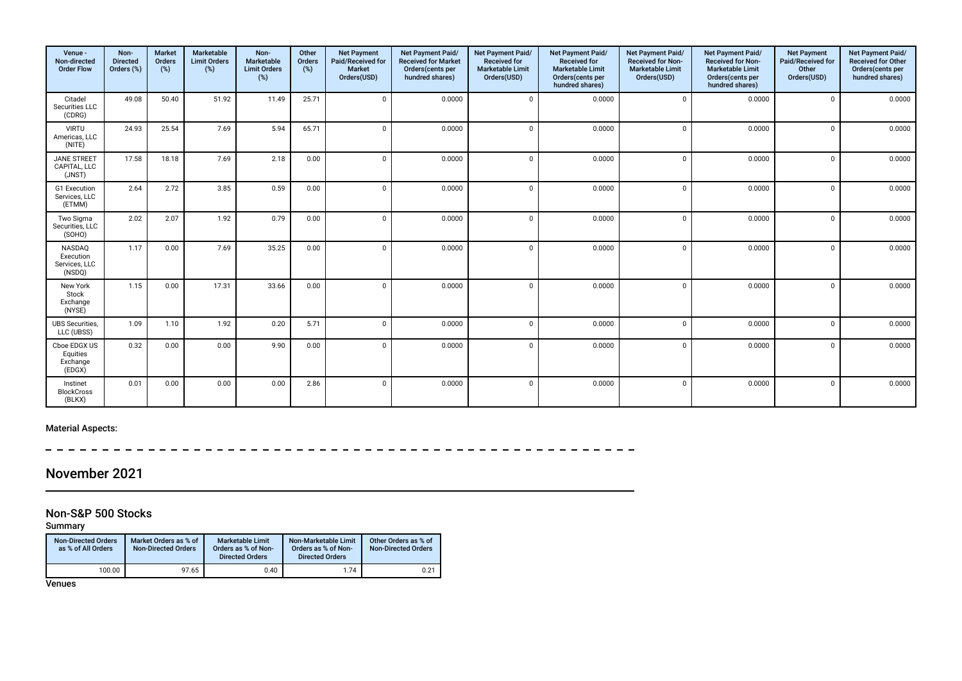| Venue -<br>Non-directed<br><b>Order Flow</b>   | Non-<br><b>Directed</b><br>Orders (%) | <b>Market</b><br>Orders<br>(%) | Marketable<br><b>Limit Orders</b><br>$(\%)$ | Non-<br><b>Marketable</b><br><b>Limit Orders</b><br>(%) | Other<br>Orders<br>(%) | <b>Net Payment</b><br>Paid/Received for<br><b>Market</b><br>Orders(USD) | Net Payment Paid/<br><b>Received for Market</b><br>Orders(cents per<br>hundred shares) | Net Payment Paid/<br><b>Received for</b><br><b>Marketable Limit</b><br>Orders(USD) | Net Payment Paid/<br><b>Received for</b><br><b>Marketable Limit</b><br>Orders(cents per<br>hundred shares) | Net Payment Paid/<br><b>Received for Non-</b><br><b>Marketable Limit</b><br>Orders(USD) | Net Payment Paid/<br><b>Received for Non-</b><br><b>Marketable Limit</b><br>Orders(cents per<br>hundred shares) | <b>Net Payment</b><br>Paid/Received for<br>Other<br>Orders(USD) | Net Payment Paid/<br><b>Received for Other</b><br>Orders(cents per<br>hundred shares) |
|------------------------------------------------|---------------------------------------|--------------------------------|---------------------------------------------|---------------------------------------------------------|------------------------|-------------------------------------------------------------------------|----------------------------------------------------------------------------------------|------------------------------------------------------------------------------------|------------------------------------------------------------------------------------------------------------|-----------------------------------------------------------------------------------------|-----------------------------------------------------------------------------------------------------------------|-----------------------------------------------------------------|---------------------------------------------------------------------------------------|
| Citadel<br>Securities LLC<br>(CDRG)            | 49.08                                 | 50.40                          | 51.92                                       | 11.49                                                   | 25.71                  | $\Omega$                                                                | 0.0000                                                                                 | $\Omega$                                                                           | 0.0000                                                                                                     | $\Omega$                                                                                | 0.0000                                                                                                          | $\Omega$                                                        | 0.0000                                                                                |
| <b>VIRTU</b><br>Americas, LLC<br>(NITE)        | 24.93                                 | 25.54                          | 7.69                                        | 5.94                                                    | 65.71                  | $\Omega$                                                                | 0.0000                                                                                 |                                                                                    | 0.0000                                                                                                     |                                                                                         | 0.0000                                                                                                          | $\Omega$                                                        | 0.0000                                                                                |
| <b>JANE STREET</b><br>CAPITAL, LLC<br>(JNST)   | 17.58                                 | 18.18                          | 7.69                                        | 2.18                                                    | 0.00                   | $\Omega$                                                                | 0.0000                                                                                 | $\Omega$                                                                           | 0.0000                                                                                                     | $\Omega$                                                                                | 0.0000                                                                                                          | $\Omega$                                                        | 0.0000                                                                                |
| G1 Execution<br>Services, LLC<br>(ETMM)        | 2.64                                  | 2.72                           | 3.85                                        | 0.59                                                    | 0.00                   | $\Omega$                                                                | 0.0000                                                                                 | $\Omega$                                                                           | 0.0000                                                                                                     | $\Omega$                                                                                | 0.0000                                                                                                          | $\Omega$                                                        | 0.0000                                                                                |
| Two Sigma<br>Securities, LLC<br>(SOHO)         | 2.02                                  | 2.07                           | 1.92                                        | 0.79                                                    | 0.00                   | $\Omega$                                                                | 0.0000                                                                                 | $\Omega$                                                                           | 0.0000                                                                                                     | $\Omega$                                                                                | 0.0000                                                                                                          | $\Omega$                                                        | 0.0000                                                                                |
| NASDAQ<br>Execution<br>Services, LLC<br>(NSDQ) | 1.17                                  | 0.00                           | 7.69                                        | 35.25                                                   | 0.00                   | $\Omega$                                                                | 0.0000                                                                                 |                                                                                    | 0.0000                                                                                                     | $\Omega$                                                                                | 0.0000                                                                                                          | $\Omega$                                                        | 0.0000                                                                                |
| New York<br>Stock<br>Exchange<br>(NYSE)        | 1.15                                  | 0.00                           | 17.31                                       | 33.66                                                   | 0.00                   | $\Omega$                                                                | 0.0000                                                                                 | $\sqrt{2}$                                                                         | 0.0000                                                                                                     | $\Omega$                                                                                | 0.0000                                                                                                          | $\Omega$                                                        | 0.0000                                                                                |
| <b>UBS Securities.</b><br>LLC (UBSS)           | 1.09                                  | 1.10                           | 1.92                                        | 0.20                                                    | 5.71                   | $\Omega$                                                                | 0.0000                                                                                 | $\Omega$                                                                           | 0.0000                                                                                                     | $\Omega$                                                                                | 0.0000                                                                                                          | $\Omega$                                                        | 0.0000                                                                                |
| Cboe EDGX US<br>Equities<br>Exchange<br>(EDGX) | 0.32                                  | 0.00                           | 0.00                                        | 9.90                                                    | 0.00                   | $\Omega$                                                                | 0.0000                                                                                 | $\mathsf{C}$                                                                       | 0.0000                                                                                                     | $\Omega$                                                                                | 0.0000                                                                                                          | $\Omega$                                                        | 0.0000                                                                                |
| Instinet<br><b>BlockCross</b><br>(BLKX)        | 0.01                                  | 0.00                           | 0.00                                        | 0.00                                                    | 2.86                   |                                                                         | 0.0000                                                                                 | $\mathsf{C}$                                                                       | 0.0000                                                                                                     |                                                                                         | 0.0000                                                                                                          | $\Omega$                                                        | 0.0000                                                                                |

 $\sim$  $\sim$  $\frac{1}{2}$ 

# November 2021

## Non-S&P 500 Stocks

Summary

| <b>Non-Directed Orders</b><br>as % of All Orders | Market Orders as % of<br><b>Non-Directed Orders</b> | <b>Marketable Limit</b><br>Orders as % of Non-<br><b>Directed Orders</b> | Non-Marketable Limit<br>Orders as % of Non-<br><b>Directed Orders</b> | Other Orders as % of<br><b>Non-Directed Orders</b> |
|--------------------------------------------------|-----------------------------------------------------|--------------------------------------------------------------------------|-----------------------------------------------------------------------|----------------------------------------------------|
| 100.00                                           | 97.65                                               | 0.40                                                                     | 1.74                                                                  | 0.21                                               |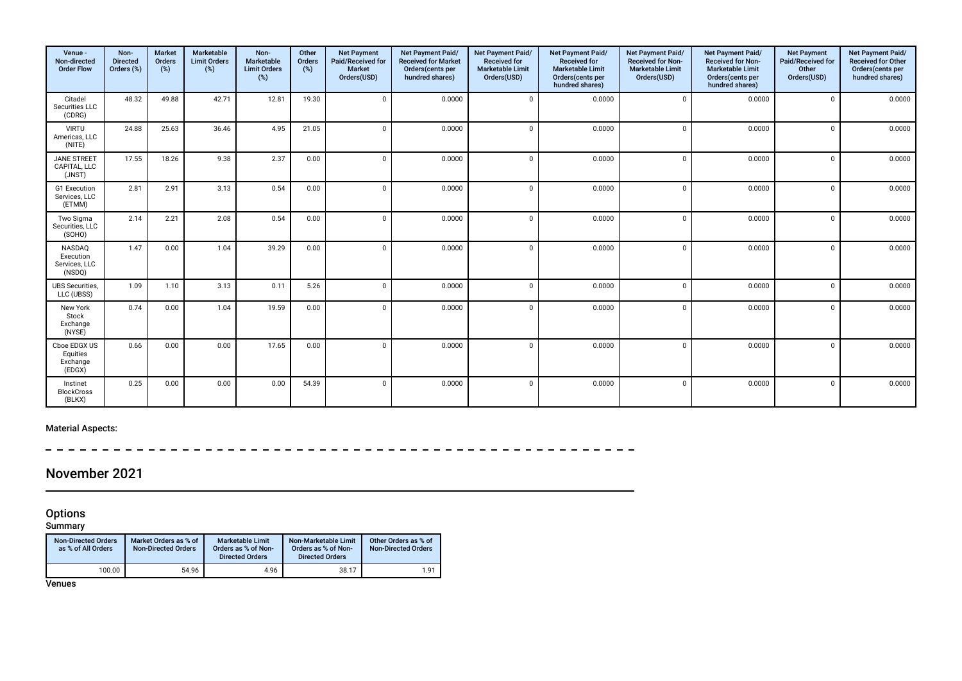| Venue -<br>Non-directed<br><b>Order Flow</b>   | Non-<br><b>Directed</b><br>Orders (%) | <b>Market</b><br>Orders<br>(%) | Marketable<br><b>Limit Orders</b><br>$(\%)$ | Non-<br><b>Marketable</b><br><b>Limit Orders</b><br>(%) | Other<br>Orders<br>(%) | <b>Net Payment</b><br>Paid/Received for<br><b>Market</b><br>Orders(USD) | Net Payment Paid/<br><b>Received for Market</b><br>Orders(cents per<br>hundred shares) | Net Payment Paid/<br><b>Received for</b><br><b>Marketable Limit</b><br>Orders(USD) | Net Payment Paid/<br><b>Received for</b><br><b>Marketable Limit</b><br>Orders(cents per<br>hundred shares) | Net Payment Paid/<br><b>Received for Non-</b><br><b>Marketable Limit</b><br>Orders(USD) | Net Payment Paid/<br><b>Received for Non-</b><br><b>Marketable Limit</b><br>Orders(cents per<br>hundred shares) | <b>Net Payment</b><br>Paid/Received for<br>Other<br>Orders(USD) | Net Payment Paid/<br><b>Received for Other</b><br>Orders(cents per<br>hundred shares) |
|------------------------------------------------|---------------------------------------|--------------------------------|---------------------------------------------|---------------------------------------------------------|------------------------|-------------------------------------------------------------------------|----------------------------------------------------------------------------------------|------------------------------------------------------------------------------------|------------------------------------------------------------------------------------------------------------|-----------------------------------------------------------------------------------------|-----------------------------------------------------------------------------------------------------------------|-----------------------------------------------------------------|---------------------------------------------------------------------------------------|
| Citadel<br>Securities LLC<br>(CDRG)            | 48.32                                 | 49.88                          | 42.71                                       | 12.81                                                   | 19.30                  | $\Omega$                                                                | 0.0000                                                                                 | $\Omega$                                                                           | 0.0000                                                                                                     | $\Omega$                                                                                | 0.0000                                                                                                          | $\Omega$                                                        | 0.0000                                                                                |
| <b>VIRTU</b><br>Americas, LLC<br>(NITE)        | 24.88                                 | 25.63                          | 36.46                                       | 4.95                                                    | 21.05                  | $\Omega$                                                                | 0.0000                                                                                 |                                                                                    | 0.0000                                                                                                     |                                                                                         | 0.0000                                                                                                          | $\Omega$                                                        | 0.0000                                                                                |
| <b>JANE STREET</b><br>CAPITAL, LLC<br>(JNST)   | 17.55                                 | 18.26                          | 9.38                                        | 2.37                                                    | 0.00                   | $\Omega$                                                                | 0.0000                                                                                 | $\Omega$                                                                           | 0.0000                                                                                                     | $\Omega$                                                                                | 0.0000                                                                                                          | $\Omega$                                                        | 0.0000                                                                                |
| G1 Execution<br>Services, LLC<br>(ETMM)        | 2.81                                  | 2.91                           | 3.13                                        | 0.54                                                    | 0.00                   | $\Omega$                                                                | 0.0000                                                                                 | $\Omega$                                                                           | 0.0000                                                                                                     | $\Omega$                                                                                | 0.0000                                                                                                          | $\Omega$                                                        | 0.0000                                                                                |
| Two Sigma<br>Securities, LLC<br>(SOHO)         | 2.14                                  | 2.21                           | 2.08                                        | 0.54                                                    | 0.00                   | $\Omega$                                                                | 0.0000                                                                                 | $\Omega$                                                                           | 0.0000                                                                                                     | $\Omega$                                                                                | 0.0000                                                                                                          | $\Omega$                                                        | 0.0000                                                                                |
| NASDAQ<br>Execution<br>Services, LLC<br>(NSDQ) | 1.47                                  | 0.00                           | 1.04                                        | 39.29                                                   | 0.00                   | $\Omega$                                                                | 0.0000                                                                                 |                                                                                    | 0.0000                                                                                                     | $\Omega$                                                                                | 0.0000                                                                                                          | $\Omega$                                                        | 0.0000                                                                                |
| <b>UBS</b> Securities,<br>LLC (UBSS)           | 1.09                                  | 1.10                           | 3.13                                        | 0.11                                                    | 5.26                   | $\Omega$                                                                | 0.0000                                                                                 | $\sqrt{ }$                                                                         | 0.0000                                                                                                     | $\Omega$                                                                                | 0.0000                                                                                                          | $\Omega$                                                        | 0.0000                                                                                |
| New York<br>Stock<br>Exchange<br>(NYSE)        | 0.74                                  | 0.00                           | 1.04                                        | 19.59                                                   | 0.00                   | $\Omega$                                                                | 0.0000                                                                                 | $\Omega$                                                                           | 0.0000                                                                                                     |                                                                                         | 0.0000                                                                                                          | $\Omega$                                                        | 0.0000                                                                                |
| Cboe EDGX US<br>Equities<br>Exchange<br>(EDGX) | 0.66                                  | 0.00                           | 0.00                                        | 17.65                                                   | 0.00                   | $\Omega$                                                                | 0.0000                                                                                 | ſ                                                                                  | 0.0000                                                                                                     |                                                                                         | 0.0000                                                                                                          | $\Omega$                                                        | 0.0000                                                                                |
| Instinet<br><b>BlockCross</b><br>(BLKX)        | 0.25                                  | 0.00                           | 0.00                                        | 0.00                                                    | 54.39                  |                                                                         | 0.0000                                                                                 | $\mathsf{C}$                                                                       | 0.0000                                                                                                     |                                                                                         | 0.0000                                                                                                          | $\Omega$                                                        | 0.0000                                                                                |

 $\frac{1}{2}$  $\sim$   $-$ 

# November 2021

#### **Options**

Summary

| <b>Non-Directed Orders</b><br>as % of All Orders | Market Orders as % of<br><b>Non-Directed Orders</b> | <b>Marketable Limit</b><br>Orders as % of Non-<br><b>Directed Orders</b> | Non-Marketable Limit<br>Orders as % of Non-<br><b>Directed Orders</b> | Other Orders as % of<br><b>Non-Directed Orders</b> |
|--------------------------------------------------|-----------------------------------------------------|--------------------------------------------------------------------------|-----------------------------------------------------------------------|----------------------------------------------------|
| 100.00                                           | 54.96                                               | 4.96                                                                     | 38.17                                                                 | 1.91                                               |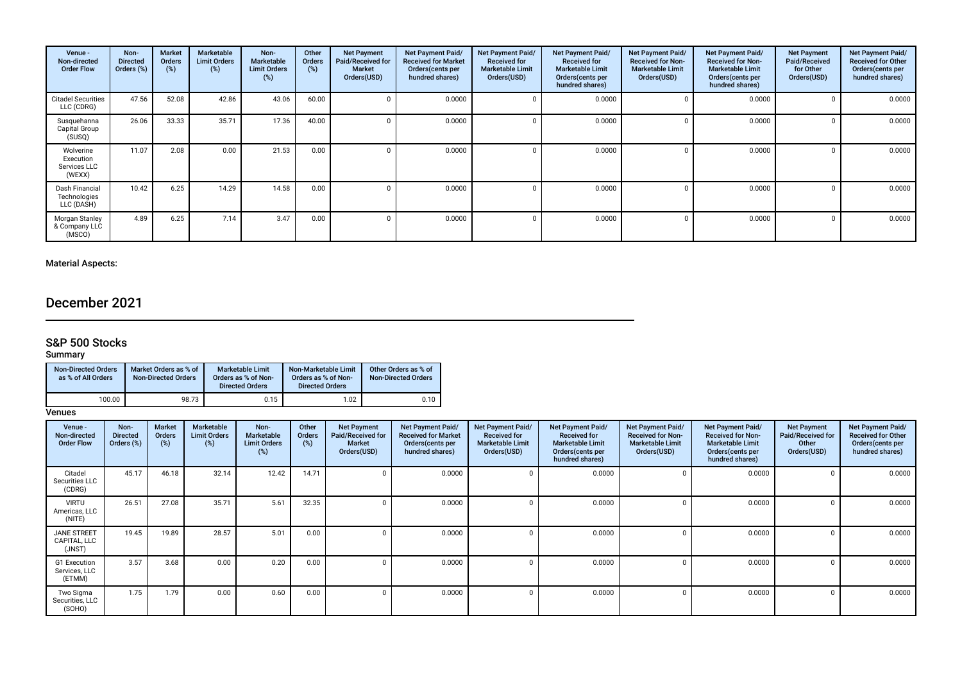| Venue -<br>Non-directed<br><b>Order Flow</b>     | Non-<br><b>Directed</b><br>Orders (%) | Market<br><b>Orders</b><br>(%) | Marketable<br><b>Limit Orders</b><br>(%) | Non-<br>Marketable<br><b>Limit Orders</b><br>(%) | Other<br><b>Orders</b><br>(%) | <b>Net Payment</b><br>Paid/Received for<br><b>Market</b><br>Orders(USD) | Net Payment Paid/<br><b>Received for Market</b><br>Orders (cents per<br>hundred shares) | Net Payment Paid/<br><b>Received for</b><br><b>Marketable Limit</b><br>Orders(USD) | Net Payment Paid/<br><b>Received for</b><br><b>Marketable Limit</b><br>Orders (cents per<br>hundred shares) | Net Payment Paid/<br><b>Received for Non-</b><br><b>Marketable Limit</b><br>Orders(USD) | Net Payment Paid/<br><b>Received for Non-</b><br><b>Marketable Limit</b><br>Orders (cents per<br>hundred shares) | <b>Net Payment</b><br>Paid/Received<br>for Other<br>Orders(USD) | Net Payment Paid/<br><b>Received for Other</b><br>Orders (cents per<br>hundred shares) |
|--------------------------------------------------|---------------------------------------|--------------------------------|------------------------------------------|--------------------------------------------------|-------------------------------|-------------------------------------------------------------------------|-----------------------------------------------------------------------------------------|------------------------------------------------------------------------------------|-------------------------------------------------------------------------------------------------------------|-----------------------------------------------------------------------------------------|------------------------------------------------------------------------------------------------------------------|-----------------------------------------------------------------|----------------------------------------------------------------------------------------|
| <b>Citadel Securities</b><br>LLC (CDRG)          | 47.56                                 | 52.08                          | 42.86                                    | 43.06                                            | 60.00                         |                                                                         | 0.0000                                                                                  |                                                                                    | 0.0000                                                                                                      |                                                                                         | 0.0000                                                                                                           |                                                                 | 0.0000                                                                                 |
| Susquehanna<br>Capital Group<br>(SUSQ)           | 26.06                                 | 33.33                          | 35.71                                    | 17.36                                            | 40.00                         |                                                                         | 0.0000                                                                                  |                                                                                    | 0.0000                                                                                                      |                                                                                         | 0.0000                                                                                                           |                                                                 | 0.0000                                                                                 |
| Wolverine<br>Execution<br>Services LLC<br>(WEXX) | 11.07                                 | 2.08                           | 0.00                                     | 21.53                                            | 0.00                          |                                                                         | 0.0000                                                                                  |                                                                                    | 0.0000                                                                                                      |                                                                                         | 0.0000                                                                                                           |                                                                 | 0.0000                                                                                 |
| Dash Financial<br>Technologies<br>LLC (DASH)     | 10.42                                 | 6.25                           | 14.29                                    | 14.58                                            | 0.00                          |                                                                         | 0.0000                                                                                  |                                                                                    | 0.0000                                                                                                      | $\Omega$                                                                                | 0.0000                                                                                                           |                                                                 | 0.0000                                                                                 |
| Morgan Stanley<br>& Company LLC<br>(MSCO)        | 4.89                                  | 6.25                           | 7.14                                     | 3.47                                             | 0.00                          |                                                                         | 0.0000                                                                                  |                                                                                    | 0.0000                                                                                                      | $\cap$                                                                                  | 0.0000                                                                                                           |                                                                 | 0.0000                                                                                 |

# December 2021

## S&P 500 Stocks

#### Summary

| <b>Non-Directed Orders</b><br>as % of All Orders | Market Orders as % of<br><b>Non-Directed Orders</b> | <b>Marketable Limit</b><br>Orders as % of Non-<br><b>Directed Orders</b> | Non-Marketable Limit<br>Orders as % of Non-<br><b>Directed Orders</b> | Other Orders as % of<br><b>Non-Directed Orders</b> |
|--------------------------------------------------|-----------------------------------------------------|--------------------------------------------------------------------------|-----------------------------------------------------------------------|----------------------------------------------------|
| 100.00                                           | 98.73                                               | 0.15                                                                     | 1.02                                                                  | 0.10                                               |

| Venue -<br>Non-directed<br><b>Order Flow</b> | Non-<br><b>Directed</b><br>Orders (%) | <b>Market</b><br><b>Orders</b><br>$(\%)$ | <b>Marketable</b><br><b>Limit Orders</b><br>(%) | Non-<br>Marketable<br><b>Limit Orders</b><br>(%) | Other<br>Orders<br>(%) | <b>Net Payment</b><br>Paid/Received for<br><b>Market</b><br>Orders(USD) | Net Payment Paid/<br><b>Received for Market</b><br>Orders (cents per<br>hundred shares) | Net Payment Paid/<br><b>Received for</b><br><b>Marketable Limit</b><br>Orders(USD) | Net Payment Paid/<br><b>Received for</b><br><b>Marketable Limit</b><br>Orders (cents per<br>hundred shares) | <b>Net Payment Paid/</b><br><b>Received for Non-</b><br><b>Marketable Limit</b><br>Orders(USD) | Net Payment Paid/<br><b>Received for Non-</b><br><b>Marketable Limit</b><br>Orders(cents per<br>hundred shares) | <b>Net Payment</b><br>Paid/Received for<br>Other<br>Orders(USD) | Net Payment Paid/<br><b>Received for Other</b><br>Orders(cents per<br>hundred shares) |
|----------------------------------------------|---------------------------------------|------------------------------------------|-------------------------------------------------|--------------------------------------------------|------------------------|-------------------------------------------------------------------------|-----------------------------------------------------------------------------------------|------------------------------------------------------------------------------------|-------------------------------------------------------------------------------------------------------------|------------------------------------------------------------------------------------------------|-----------------------------------------------------------------------------------------------------------------|-----------------------------------------------------------------|---------------------------------------------------------------------------------------|
| Citadel<br>Securities LLC<br>(CDRG)          | 45.17                                 | 46.18                                    | 32.14                                           | 12.42                                            | 14.71                  |                                                                         | 0.0000                                                                                  |                                                                                    | 0.0000                                                                                                      |                                                                                                | 0.0000                                                                                                          |                                                                 | 0.0000                                                                                |
| <b>VIRTU</b><br>Americas, LLC<br>(NITE)      | 26.51                                 | 27.08                                    | 35.71                                           | 5.61                                             | 32.35                  |                                                                         | 0.0000                                                                                  |                                                                                    | 0.0000                                                                                                      |                                                                                                | 0.0000                                                                                                          |                                                                 | 0.0000                                                                                |
| <b>JANE STREET</b><br>CAPITAL, LLC<br>(JNST) | 19.45                                 | 19.89                                    | 28.57                                           | 5.01                                             | 0.00                   |                                                                         | 0.0000                                                                                  |                                                                                    | 0.0000                                                                                                      |                                                                                                | 0.0000                                                                                                          |                                                                 | 0.0000                                                                                |
| G1 Execution<br>Services, LLC<br>(ETMM)      | 3.57                                  | 3.68                                     | 0.00                                            | 0.20                                             | 0.00                   |                                                                         | 0.0000                                                                                  |                                                                                    | 0.0000                                                                                                      |                                                                                                | 0.0000                                                                                                          |                                                                 | 0.0000                                                                                |
| Two Sigma<br>Securities, LLC<br>(SOHO)       | 1.75                                  | 1.79                                     | 0.00                                            | 0.60                                             | 0.00                   |                                                                         | 0.0000                                                                                  |                                                                                    | 0.0000                                                                                                      |                                                                                                | 0.0000                                                                                                          |                                                                 | 0.0000                                                                                |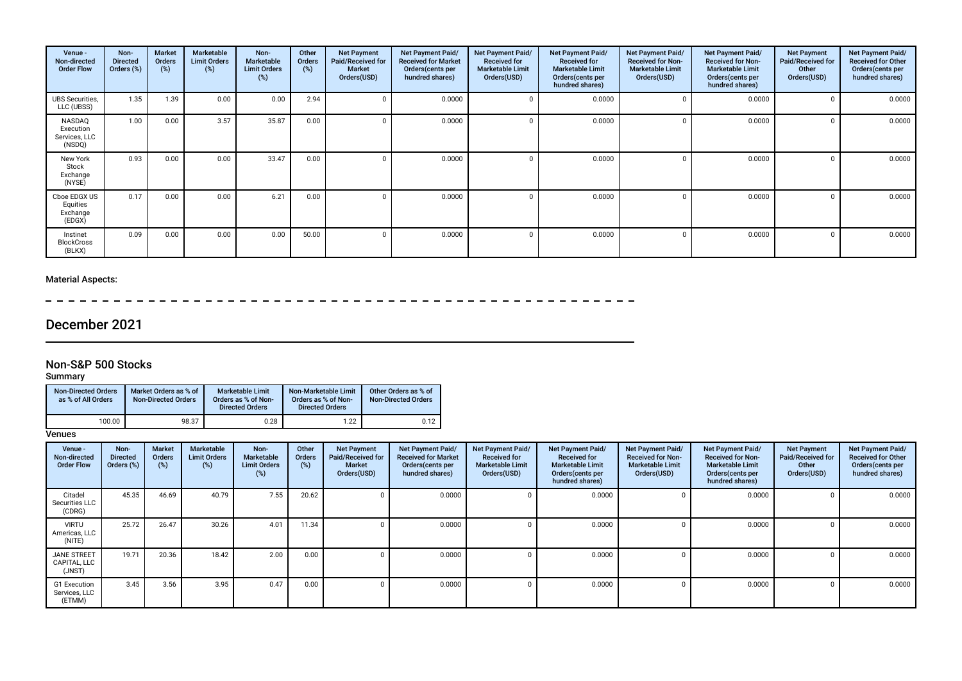| Venue -<br>Non-directed<br><b>Order Flow</b>   | Non-<br><b>Directed</b><br>Orders (%) | <b>Market</b><br>Orders<br>(%) | Marketable<br><b>Limit Orders</b><br>(%) | Non-<br><b>Marketable</b><br><b>Limit Orders</b><br>(%) | Other<br>Orders<br>(%) | <b>Net Payment</b><br>Paid/Received for<br><b>Market</b><br>Orders(USD) | Net Payment Paid/<br><b>Received for Market</b><br>Orders (cents per<br>hundred shares) | Net Payment Paid/<br><b>Received for</b><br><b>Marketable Limit</b><br>Orders(USD) | <b>Net Payment Paid/</b><br><b>Received for</b><br><b>Marketable Limit</b><br>Orders(cents per<br>hundred shares) | <b>Net Payment Paid/</b><br><b>Received for Non-</b><br><b>Marketable Limit</b><br>Orders(USD) | <b>Net Payment Paid/</b><br><b>Received for Non-</b><br><b>Marketable Limit</b><br>Orders (cents per<br>hundred shares) | <b>Net Payment</b><br>Paid/Received for<br>Other<br>Orders(USD) | Net Payment Paid/<br><b>Received for Other</b><br>Orders(cents per<br>hundred shares) |
|------------------------------------------------|---------------------------------------|--------------------------------|------------------------------------------|---------------------------------------------------------|------------------------|-------------------------------------------------------------------------|-----------------------------------------------------------------------------------------|------------------------------------------------------------------------------------|-------------------------------------------------------------------------------------------------------------------|------------------------------------------------------------------------------------------------|-------------------------------------------------------------------------------------------------------------------------|-----------------------------------------------------------------|---------------------------------------------------------------------------------------|
| <b>UBS Securities,</b><br>LLC (UBSS)           | 1.35                                  | 1.39                           | 0.00                                     | 0.00                                                    | 2.94                   |                                                                         | 0.0000                                                                                  |                                                                                    | 0.0000                                                                                                            |                                                                                                | 0.0000                                                                                                                  | $\mathbf{0}$                                                    | 0.0000                                                                                |
| NASDAQ<br>Execution<br>Services, LLC<br>(NSDQ) | 1.00                                  | 0.00                           | 3.57                                     | 35.87                                                   | 0.00                   |                                                                         | 0.0000                                                                                  |                                                                                    | 0.0000                                                                                                            |                                                                                                | 0.0000                                                                                                                  | $\Omega$                                                        | 0.0000                                                                                |
| New York<br>Stock<br>Exchange<br>(NYSE)        | 0.93                                  | 0.00                           | 0.00                                     | 33.47                                                   | 0.00                   |                                                                         | 0.0000                                                                                  |                                                                                    | 0.0000                                                                                                            |                                                                                                | 0.0000                                                                                                                  | $\Omega$                                                        | 0.0000                                                                                |
| Cboe EDGX US<br>Equities<br>Exchange<br>(EDGX) | 0.17                                  | 0.00                           | 0.00                                     | 6.21                                                    | 0.00                   |                                                                         | 0.0000                                                                                  |                                                                                    | 0.0000                                                                                                            |                                                                                                | 0.0000                                                                                                                  | $\Omega$                                                        | 0.0000                                                                                |
| Instinet<br><b>BlockCross</b><br>(BLKX)        | 0.09                                  | 0.00                           | 0.00                                     | 0.00                                                    | 50.00                  |                                                                         | 0.0000                                                                                  |                                                                                    | 0.0000                                                                                                            |                                                                                                | 0.0000                                                                                                                  | $\Omega$                                                        | 0.0000                                                                                |

 $=$   $\overline{\phantom{a}}$ **Contract Contract** 

# December 2021

## Non-S&P 500 Stocks

Summary

| <b>Non-Directed Orders</b><br>as % of All Orders | Market Orders as % of<br><b>Non-Directed Orders</b> | <b>Marketable Limit</b><br>Orders as % of Non-<br><b>Directed Orders</b> | Non-Marketable Limit<br>Orders as % of Non-<br><b>Directed Orders</b> | Other Orders as % of<br><b>Non-Directed Orders</b> |
|--------------------------------------------------|-----------------------------------------------------|--------------------------------------------------------------------------|-----------------------------------------------------------------------|----------------------------------------------------|
| 100.00                                           | 98.37                                               | 0.28                                                                     | 1.22                                                                  | 0.12                                               |

| Venue -<br>Non-directed<br><b>Order Flow</b> | Non-<br><b>Directed</b><br>Orders (%) | Market<br>Orders<br>$(\%)$ | Marketable<br><b>Limit Orders</b><br>$(\%)$ | Non-<br><b>Marketable</b><br><b>Limit Orders</b><br>(%) | Other<br><b>Orders</b><br>(%) | <b>Net Payment</b><br>Paid/Received for<br><b>Market</b><br>Orders(USD) | Net Payment Paid/<br><b>Received for Market</b><br>Orders(cents per<br>hundred shares) | <b>Net Payment Paid/</b><br><b>Received for</b><br><b>Marketable Limit</b><br>Orders(USD) | Net Payment Paid/<br><b>Received for</b><br><b>Marketable Limit</b><br>Orders(cents per<br>hundred shares) | Net Payment Paid/<br><b>Received for Non-</b><br><b>Marketable Limit</b><br>Orders(USD) | Net Payment Paid/<br><b>Received for Non-</b><br><b>Marketable Limit</b><br>Orders (cents per<br>hundred shares) | <b>Net Payment</b><br>Paid/Received for<br>Other<br>Orders(USD) | Net Payment Paid/<br><b>Received for Other</b><br>Orders(cents per<br>hundred shares) |
|----------------------------------------------|---------------------------------------|----------------------------|---------------------------------------------|---------------------------------------------------------|-------------------------------|-------------------------------------------------------------------------|----------------------------------------------------------------------------------------|-------------------------------------------------------------------------------------------|------------------------------------------------------------------------------------------------------------|-----------------------------------------------------------------------------------------|------------------------------------------------------------------------------------------------------------------|-----------------------------------------------------------------|---------------------------------------------------------------------------------------|
| Citadel<br>Securities LLC<br>(CDRG)          | 45.35                                 | 46.69                      | 40.79                                       | 7.55                                                    | 20.62                         |                                                                         | 0.0000                                                                                 |                                                                                           | 0.0000                                                                                                     |                                                                                         | 0.0000                                                                                                           |                                                                 | 0.0000                                                                                |
| <b>VIRTU</b><br>Americas, LLC<br>(NITE)      | 25.72                                 | 26.47                      | 30.26                                       | 4.01                                                    | 11.34                         |                                                                         | 0.0000                                                                                 |                                                                                           | 0.0000                                                                                                     |                                                                                         | 0.0000                                                                                                           |                                                                 | 0.0000                                                                                |
| <b>JANE STREET</b><br>CAPITAL, LLC<br>(JNST) | 19.71                                 | 20.36                      | 18.42                                       | 2.00                                                    | 0.00                          |                                                                         | 0.0000                                                                                 |                                                                                           | 0.0000                                                                                                     |                                                                                         | 0.0000                                                                                                           |                                                                 | 0.0000                                                                                |
| G1 Execution<br>Services, LLC<br>(ETMM)      | 3.45                                  | 3.56                       | 3.95                                        | 0.47                                                    | 0.00                          |                                                                         | 0.0000                                                                                 |                                                                                           | 0.0000                                                                                                     |                                                                                         | 0.0000                                                                                                           |                                                                 | 0.0000                                                                                |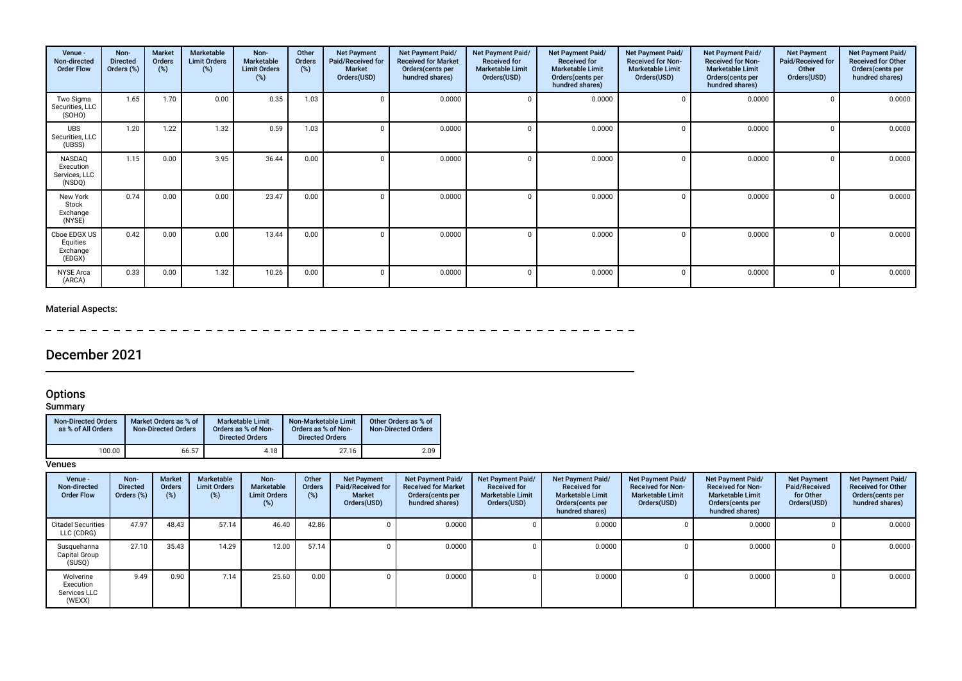| Venue -<br>Non-directed<br><b>Order Flow</b>   | Non-<br><b>Directed</b><br>Orders (%) | Market<br>Orders<br>(%) | Marketable<br><b>Limit Orders</b><br>(%) | Non-<br>Marketable<br><b>Limit Orders</b><br>(%) | Other<br>Orders<br>(%) | <b>Net Payment</b><br>Paid/Received for<br><b>Market</b><br>Orders(USD) | Net Payment Paid/<br><b>Received for Market</b><br>Orders(cents per<br>hundred shares) | Net Payment Paid/<br><b>Received for</b><br><b>Marketable Limit</b><br>Orders(USD) | <b>Net Payment Paid/</b><br><b>Received for</b><br><b>Marketable Limit</b><br>Orders(cents per<br>hundred shares) | Net Payment Paid/<br><b>Received for Non-</b><br><b>Marketable Limit</b><br>Orders(USD) | Net Payment Paid/<br><b>Received for Non-</b><br><b>Marketable Limit</b><br>Orders (cents per<br>hundred shares) | <b>Net Payment</b><br>Paid/Received for<br>Other<br>Orders(USD) | Net Payment Paid/<br>Received for Other<br>Orders(cents per<br>hundred shares) |
|------------------------------------------------|---------------------------------------|-------------------------|------------------------------------------|--------------------------------------------------|------------------------|-------------------------------------------------------------------------|----------------------------------------------------------------------------------------|------------------------------------------------------------------------------------|-------------------------------------------------------------------------------------------------------------------|-----------------------------------------------------------------------------------------|------------------------------------------------------------------------------------------------------------------|-----------------------------------------------------------------|--------------------------------------------------------------------------------|
| Two Sigma<br>Securities, LLC<br>(SOHO)         | 1.65                                  | 1.70                    | 0.00                                     | 0.35                                             | 1.03                   |                                                                         | 0.0000                                                                                 |                                                                                    | 0.0000                                                                                                            |                                                                                         | 0.0000                                                                                                           |                                                                 | 0.0000                                                                         |
| <b>UBS</b><br>Securities, LLC<br>(UBSS)        | 1.20                                  | 1.22                    | 1.32                                     | 0.59                                             | 1.03                   |                                                                         | 0.0000                                                                                 |                                                                                    | 0.0000                                                                                                            |                                                                                         | 0.0000                                                                                                           |                                                                 | 0.0000                                                                         |
| NASDAQ<br>Execution<br>Services, LLC<br>(NSDQ) | 1.15                                  | 0.00                    | 3.95                                     | 36.44                                            | 0.00                   |                                                                         | 0.0000                                                                                 |                                                                                    | 0.0000                                                                                                            |                                                                                         | 0.0000                                                                                                           |                                                                 | 0.0000                                                                         |
| New York<br>Stock<br>Exchange<br>(NYSE)        | 0.74                                  | 0.00                    | 0.00                                     | 23.47                                            | 0.00                   |                                                                         | 0.0000                                                                                 |                                                                                    | 0.0000                                                                                                            |                                                                                         | 0.0000                                                                                                           |                                                                 | 0.0000                                                                         |
| Cboe EDGX US<br>Equities<br>Exchange<br>(EDGX) | 0.42                                  | 0.00                    | 0.00                                     | 13.44                                            | 0.00                   |                                                                         | 0.0000                                                                                 |                                                                                    | 0.0000                                                                                                            |                                                                                         | 0.0000                                                                                                           |                                                                 | 0.0000                                                                         |
| <b>NYSE Arca</b><br>(ARCA)                     | 0.33                                  | 0.00                    | 1.32                                     | 10.26                                            | 0.00                   |                                                                         | 0.0000                                                                                 |                                                                                    | 0.0000                                                                                                            |                                                                                         | 0.0000                                                                                                           |                                                                 | 0.0000                                                                         |

# December 2021

#### Options

#### Summary

| <b>Non-Directed Orders</b><br>as % of All Orders | Market Orders as % of<br><b>Non-Directed Orders</b> | <b>Marketable Limit</b><br>Orders as % of Non-<br><b>Directed Orders</b> | Non-Marketable Limit<br>Orders as % of Non-<br><b>Directed Orders</b> | Other Orders as % of<br><b>Non-Directed Orders</b> |
|--------------------------------------------------|-----------------------------------------------------|--------------------------------------------------------------------------|-----------------------------------------------------------------------|----------------------------------------------------|
| 100.00                                           | 66.57                                               | 4.18                                                                     | 27.16                                                                 | 2.09                                               |

| Venue -<br>Non-directed<br><b>Order Flow</b>     | Non-<br><b>Directed</b><br>Orders (%) | <b>Market</b><br><b>Orders</b><br>(%) | Marketable<br><b>Limit Orders</b><br>(%) | Non-<br><b>Marketable</b><br><b>Limit Orders</b><br>(%) | Other<br><b>Orders</b><br>$(\%)$ | <b>Net Payment</b><br>Paid/Received for<br><b>Market</b><br>Orders(USD) | Net Payment Paid/<br><b>Received for Market</b><br>Orders (cents per<br>hundred shares) | Net Payment Paid/<br><b>Received for</b><br><b>Marketable Limit</b><br>Orders(USD) | Net Payment Paid/<br><b>Received for</b><br><b>Marketable Limit</b><br>Orders (cents per<br>hundred shares) | Net Payment Paid/<br><b>Received for Non-</b><br><b>Marketable Limit</b><br>Orders(USD) | Net Payment Paid/<br><b>Received for Non-</b><br><b>Marketable Limit</b><br>Orders (cents per<br>hundred shares) | <b>Net Payment</b><br>Paid/Received<br>for Other<br>Orders(USD) | Net Payment Paid/<br><b>Received for Other</b><br>Orders(cents per<br>hundred shares) |
|--------------------------------------------------|---------------------------------------|---------------------------------------|------------------------------------------|---------------------------------------------------------|----------------------------------|-------------------------------------------------------------------------|-----------------------------------------------------------------------------------------|------------------------------------------------------------------------------------|-------------------------------------------------------------------------------------------------------------|-----------------------------------------------------------------------------------------|------------------------------------------------------------------------------------------------------------------|-----------------------------------------------------------------|---------------------------------------------------------------------------------------|
| <b>Citadel Securities</b><br>LLC (CDRG)          | 47.97                                 | 48.43                                 | 57.14                                    | 46.40                                                   | 42.86                            |                                                                         | 0.0000                                                                                  |                                                                                    | 0.0000                                                                                                      |                                                                                         | 0.0000                                                                                                           |                                                                 | 0.0000                                                                                |
| Susquehanna<br>Capital Group<br>(SUSQ)           | 27.10                                 | 35.43                                 | 14.29                                    | 12.00                                                   | 57.14                            |                                                                         | 0.0000                                                                                  |                                                                                    | 0.0000                                                                                                      |                                                                                         | 0.0000                                                                                                           |                                                                 | 0.0000                                                                                |
| Wolverine<br>Execution<br>Services LLC<br>(WEXX) | 9.49                                  | 0.90                                  | 7.14                                     | 25.60                                                   | 0.00                             |                                                                         | 0.0000                                                                                  |                                                                                    | 0.0000                                                                                                      |                                                                                         | 0.0000                                                                                                           |                                                                 | 0.0000                                                                                |